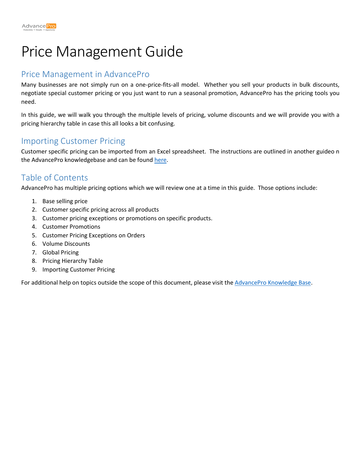# Price Management Guide

### Price Management in AdvancePro

Many businesses are not simply run on a one-price-fits-all model. Whether you sell your products in bulk discounts, negotiate special customer pricing or you just want to run a seasonal promotion, AdvancePro has the pricing tools you need.

In this guide, we will walk you through the multiple levels of pricing, volume discounts and we will provide you with a pricing hierarchy table in case this all looks a bit confusing.

#### Importing Customer Pricing

Customer specific pricing can be imported from an Excel spreadsheet. The instructions are outlined in another guideo n the AdvancePro knowledgebase and can be found [here.](https://support.zoho.com/portal/advanceprotechnologies/helpcenter/articles/customer-pricing-import-guide)

## Table of Contents

AdvancePro has multiple pricing options which we will review one at a time in this guide. Those options include:

- 1. Base selling price
- 2. Customer specific pricing across all products
- 3. Customer pricing exceptions or promotions on specific products.
- 4. Customer Promotions
- 5. Customer Pricing Exceptions on Orders
- 6. Volume Discounts
- 7. Global Pricing
- 8. Pricing Hierarchy Table
- 9. Importing Customer Pricing

For additional help on topics outside the scope of this document, please visit th[e AdvancePro Knowledge Base.](https://support.zoho.com/portal/advanceprotechnologies/helpcenter/knowledgebase/feature-guides)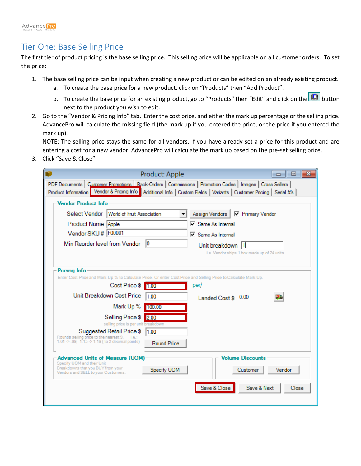

#### Tier One: Base Selling Price

The first tier of product pricing is the base selling price. This selling price will be applicable on all customer orders. To set the price:

- 1. The base selling price can be input when creating a new product or can be edited on an already existing product.
	- a. To create the base price for a new product, click on "Products" then "Add Product".
	- b. To create the base price for an existing product, go to "Products" then "Edit" and click on the **button** next to the product you wish to edit.
- 2. Go to the "Vendor & Pricing Info" tab. Enter the cost price, and either the mark up percentage or the selling price. AdvancePro will calculate the missing field (the mark up if you entered the price, or the price if you entered the mark up).

NOTE: The selling price stays the same for all vendors. If you have already set a price for this product and are entering a cost for a new vendor, AdvancePro will calculate the mark up based on the pre-set selling price.

3. Click "Save & Close"

| Product: Apple                                                                                                                        | $\parallel$ 0 $\parallel$ X<br>- - -                                                                                                                                                                                                |
|---------------------------------------------------------------------------------------------------------------------------------------|-------------------------------------------------------------------------------------------------------------------------------------------------------------------------------------------------------------------------------------|
|                                                                                                                                       | PDF Documents   Customer Promotions   Back-Orders   Commissions   Promotion Codes   Images   Cross Sellers  <br>Product Information Vendor & Pricing Info Additional Info   Custom Fields   Variants   Customer Pricing   Serial #s |
| Vendor Product Info                                                                                                                   |                                                                                                                                                                                                                                     |
| Select Vendor   World of Fruit Association                                                                                            | <b>▽</b> Primary Vendor<br>Assign Vendors                                                                                                                                                                                           |
| Product Name Apple                                                                                                                    | □ Same As Internal                                                                                                                                                                                                                  |
| Vendor SKU # F00001                                                                                                                   | $\nabla$ Same As Internal                                                                                                                                                                                                           |
| Min Reorder level from Vendor<br>10                                                                                                   | Unit breakdown 11                                                                                                                                                                                                                   |
|                                                                                                                                       | i.e. Vendor ships 1 box made up of 24 units                                                                                                                                                                                         |
|                                                                                                                                       |                                                                                                                                                                                                                                     |
| <b>Pricing Info</b><br>Enter Cost Price and Mark Up % to Calculate Price. Or enter Cost Price and Selling Price to Calculate Mark Up. |                                                                                                                                                                                                                                     |
| Cost Price \$ 1.00                                                                                                                    | per/                                                                                                                                                                                                                                |
| Unit Breakdown Cost Price<br>1100                                                                                                     | Landed Cost \$ 0.00                                                                                                                                                                                                                 |
| Mark Up %<br>100.00                                                                                                                   |                                                                                                                                                                                                                                     |
| Selling Price \$ 2.00                                                                                                                 |                                                                                                                                                                                                                                     |
| selling price is per unit breakdown                                                                                                   |                                                                                                                                                                                                                                     |
| Suggested Retail Price \$<br>1.00<br>Rounds selling price to the nearest 9.<br>ie:                                                    |                                                                                                                                                                                                                                     |
| 1.01 -> .99; 1.15 -> 1.19 ( to 2 decimal points)                                                                                      | <b>Round Price</b>                                                                                                                                                                                                                  |
| <b>Advanced Units of Measure (UOM)</b>                                                                                                | <b>Volume Discounts</b>                                                                                                                                                                                                             |
| Specify UOM and their Unit<br>Breakdowns that you BUY from your                                                                       | Specify UOM<br>Vendor<br>Customer                                                                                                                                                                                                   |
| Vendors and SELL to your Customers.                                                                                                   |                                                                                                                                                                                                                                     |
|                                                                                                                                       | Save & Close<br>Save & Next<br>Close                                                                                                                                                                                                |
|                                                                                                                                       |                                                                                                                                                                                                                                     |
|                                                                                                                                       |                                                                                                                                                                                                                                     |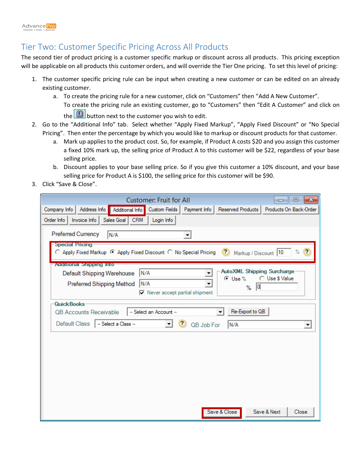## Tier Two: Customer Specific Pricing Across All Products

The second tier of product pricing is a customer specific markup or discount across all products. This pricing exception will be applicable on all products this customer orders, and will override the Tier One pricing. To set this level of pricing:

- 1. The customer specific pricing rule can be input when creating a new customer or can be edited on an already existing customer.
	- a. To create the pricing rule for a new customer, click on "Customers" then "Add A New Customer". To create the pricing rule an existing customer, go to "Customers" then "Edit A Customer" and click on
		- the  $\Box$  button next to the customer you wish to edit.
- 2. Go to the "Additional Info" tab. Select whether "Apply Fixed Markup", "Apply Fixed Discount" or "No Special Pricing". Then enter the percentage by which you would like to markup or discount products for that customer.
	- a. Mark up applies to the product cost. So, for example, if Product A costs \$20 and you assign this customer a fixed 10% mark up, the selling price of Product A to this customer will be \$22, regardless of your base selling price.
	- b. Discount applies to your base selling price. So if you give this customer a 10% discount, and your base selling price for Product A is \$100, the selling price for this customer will be \$90.
- 3. Click "Save & Close".

| $\mathbf{x}$<br><b>Customer: Fruit for All</b><br>回<br>--                                                                                              |
|--------------------------------------------------------------------------------------------------------------------------------------------------------|
| Products On Back-Order<br>Company Info<br>Address Info<br>Additional Info<br>Custom Fields   Payment Info   Reserved Products                          |
| Order Info   Invoice Info<br>Sales Goal   CRM<br>Login Info                                                                                            |
| Preferred Currency<br>N/A                                                                                                                              |
| <b>Special Pricing</b><br>○ Apply Fixed Markup ⊙ Apply Fixed Discount ○ No Special Pricing<br>$\%$ (?<br>$\boldsymbol{\Omega}$<br>Markup / Discount 10 |
| <b>Additional Shipping Info</b>                                                                                                                        |
| <b>AutoXML Shipping Surcharge</b><br>IN/A<br>Default Shipping Warehouse<br>○ Use \$ Value<br>⊙ Use %                                                   |
| N/A<br>Preferred Shipping Method<br>▼<br> 0 <br>%                                                                                                      |
| $\nabla$ Never accept partial shipment                                                                                                                 |
| QuickBooks                                                                                                                                             |
| Re-Export to QB<br>OB Accounts Receivable<br>-- Select an Account --<br>▼                                                                              |
| Default Class<br>-- Select a Class --<br>QB Job For<br>N/A<br>▾<br>$\blacktriangledown$                                                                |
|                                                                                                                                                        |
|                                                                                                                                                        |
|                                                                                                                                                        |
|                                                                                                                                                        |
|                                                                                                                                                        |
|                                                                                                                                                        |
|                                                                                                                                                        |
|                                                                                                                                                        |
| Save & Next<br>Save & Close<br>Close                                                                                                                   |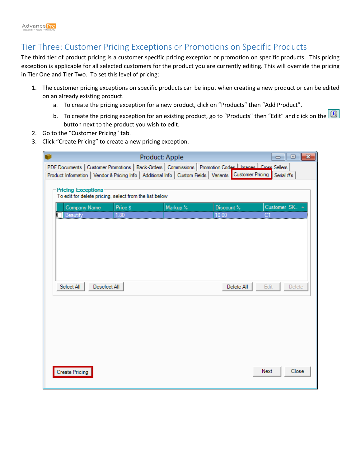#### Tier Three: Customer Pricing Exceptions or Promotions on Specific Products

The third tier of product pricing is a customer specific pricing exception or promotion on specific products. This pricing exception is applicable for all selected customers for the product you are currently editing. This will override the pricing in Tier One and Tier Two. To set this level of pricing:

- 1. The customer pricing exceptions on specific products can be input when creating a new product or can be edited on an already existing product.
	- a. To create the pricing exception for a new product, click on "Products" then "Add Product".
	- b. To create the pricing exception for an existing product, go to "Products" then "Edit" and click on the  $\Box$ button next to the product you wish to edit.
- 2. Go to the "Customer Pricing" tab.
- 3. Click "Create Pricing" to create a new pricing exception.

|                           |              |                                                        | Product: Apple                                                                                              |            | $-23$<br>回<br>$\Box$ |
|---------------------------|--------------|--------------------------------------------------------|-------------------------------------------------------------------------------------------------------------|------------|----------------------|
|                           |              |                                                        | PDF Documents   Customer Promotions   Back-Orders   Commissions   Promotion Codes   Images   Cross Sellers  |            |                      |
|                           |              |                                                        | Product Information   Vendor & Pricing Info   Additional Info   Custom Fields   Variants   Customer Pricing |            | Serial #'s           |
| <b>Pricing Exceptions</b> |              | To edit for delete pricing, select from the list below |                                                                                                             |            |                      |
| Company Name              |              | Price \$                                               | Markup %                                                                                                    | Discount % | Customer SK.         |
| Beautify                  |              | 1.80                                                   |                                                                                                             | 10.00      |                      |
|                           |              |                                                        |                                                                                                             |            |                      |
|                           |              |                                                        |                                                                                                             |            |                      |
|                           |              |                                                        |                                                                                                             |            |                      |
|                           |              |                                                        |                                                                                                             |            |                      |
| Select All                | Deselect All |                                                        |                                                                                                             | Delete All | Edit<br>Delete       |
|                           |              |                                                        |                                                                                                             |            |                      |
|                           |              |                                                        |                                                                                                             |            |                      |
|                           |              |                                                        |                                                                                                             |            |                      |
|                           |              |                                                        |                                                                                                             |            |                      |
|                           |              |                                                        |                                                                                                             |            |                      |
|                           |              |                                                        |                                                                                                             |            |                      |
| <b>Create Pricing</b>     |              |                                                        |                                                                                                             |            | Next<br>Close        |
|                           |              |                                                        |                                                                                                             |            |                      |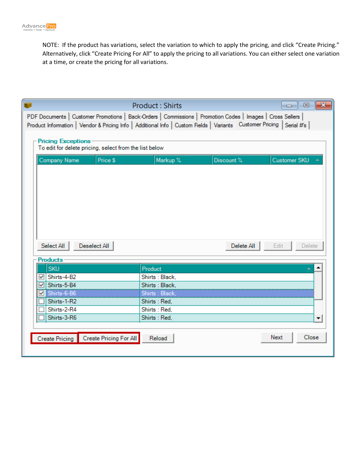NOTE: If the product has variations, select the variation to which to apply the pricing, and click "Create Pricing." Alternatively, click "Create Pricing For All" to apply the pricing to all variations. You can either select one variation at a time, or create the pricing for all variations.

|                                                                                                                          | <b>Product: Shirts</b>                  |            | $\mathbf{z}$<br>l o<br>$\Box$ |
|--------------------------------------------------------------------------------------------------------------------------|-----------------------------------------|------------|-------------------------------|
| PDF Documents   Customer Promotions   Back-Orders   Commissions   Promotion Codes   Images   Cross Sellers               |                                         |            |                               |
| Product Information   Vendor & Pricing Info   Additional Info   Custom Fields   Variants   Customer Pricing   Serial #'s |                                         |            |                               |
| <b>Pricing Exceptions</b>                                                                                                |                                         |            |                               |
| To edit for delete pricing, select from the list below                                                                   |                                         |            |                               |
| Price \$<br>Company Name                                                                                                 | Markup %                                | Discount % | Customer SKU                  |
|                                                                                                                          |                                         |            |                               |
|                                                                                                                          |                                         |            |                               |
|                                                                                                                          |                                         |            |                               |
|                                                                                                                          |                                         |            |                               |
|                                                                                                                          |                                         |            |                               |
|                                                                                                                          |                                         |            |                               |
|                                                                                                                          |                                         |            |                               |
|                                                                                                                          |                                         |            |                               |
| Deselect All<br>Select All                                                                                               |                                         | Delete All | Edit<br>Delete                |
|                                                                                                                          |                                         |            |                               |
|                                                                                                                          |                                         |            |                               |
| <b>Products</b>                                                                                                          |                                         |            |                               |
| <b>SKU</b>                                                                                                               | Product                                 |            |                               |
| Shirts-4-B2<br>V<br>Shirts-5-B4<br>⊽                                                                                     | Shirts: Black.<br>Shirts: Black.        |            |                               |
| ⊮                                                                                                                        |                                         |            |                               |
| Shirts-6-B6<br>Shirts-1-R2                                                                                               | <u> Shirts : Black,</u><br>Shirts: Red, |            |                               |
| Shirts-2-R4                                                                                                              | Shirts: Red.                            |            |                               |
| Shirts-3-R6                                                                                                              | Shirts: Red.                            |            | ▼                             |
|                                                                                                                          |                                         |            |                               |
| Create Pricing Create Pricing For All                                                                                    | Reload                                  |            | Close<br>Next                 |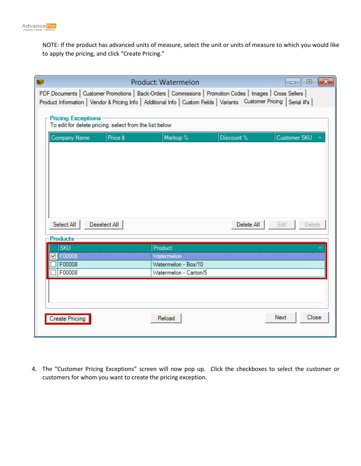

NOTE: If the product has advanced units of measure, select the unit or units of measure to which you would like to apply the pricing, and click "Create Pricing."

|                                                                                     |              | Product: Watermelon<br>PDF Documents   Customer Promotions   Back-Orders   Commissions   Promotion Codes   Images   Cross Sellers |            | $\overline{\mathbf{x}}$<br>- 回<br>$\Box$ |
|-------------------------------------------------------------------------------------|--------------|-----------------------------------------------------------------------------------------------------------------------------------|------------|------------------------------------------|
|                                                                                     |              | Product Information   Vendor & Pricing Info   Additional Info   Custom Fields   Variants   Customer Pricing   Serial #'s          |            |                                          |
| <b>Pricing Exceptions</b><br>To edit for delete pricing, select from the list below |              |                                                                                                                                   |            |                                          |
| Company Name                                                                        | Price \$     | Markup %                                                                                                                          | Discount % | Customer SKU                             |
|                                                                                     |              |                                                                                                                                   |            |                                          |
|                                                                                     |              |                                                                                                                                   |            |                                          |
|                                                                                     |              |                                                                                                                                   |            |                                          |
|                                                                                     |              |                                                                                                                                   |            |                                          |
|                                                                                     |              |                                                                                                                                   |            |                                          |
| Select All                                                                          | Deselect All |                                                                                                                                   | Delete All | Edit<br>Delete                           |
| <b>Products</b><br><b>SKU</b>                                                       |              | Product                                                                                                                           |            |                                          |
| F00008                                                                              |              | Watermelon                                                                                                                        |            |                                          |
| F00008                                                                              |              | Watermelon - Box/10                                                                                                               |            |                                          |
| F00008                                                                              |              | Watermelon - Carton/5                                                                                                             |            |                                          |
|                                                                                     |              |                                                                                                                                   |            |                                          |
|                                                                                     |              |                                                                                                                                   |            |                                          |
|                                                                                     |              |                                                                                                                                   |            |                                          |
| <b>Create Pricing</b>                                                               |              | Reload                                                                                                                            |            | Close<br>Next                            |
|                                                                                     |              |                                                                                                                                   |            |                                          |

4. The "Customer Pricing Exceptions" screen will now pop up. Click the checkboxes to select the customer or customers for whom you want to create the pricing exception.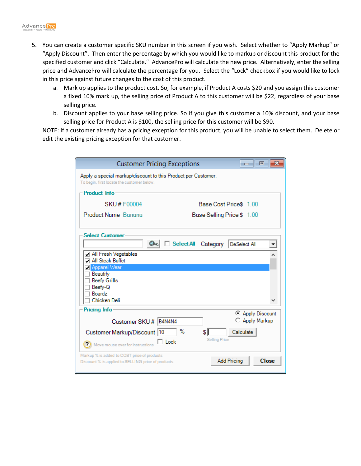- 5. You can create a customer specific SKU number in this screen if you wish. Select whether to "Apply Markup" or "Apply Discount". Then enter the percentage by which you would like to markup or discount this product for the specified customer and click "Calculate." AdvancePro will calculate the new price. Alternatively, enter the selling price and AdvancePro will calculate the percentage for you. Select the "Lock" checkbox if you would like to lock in this price against future changes to the cost of this product.
	- a. Mark up applies to the product cost. So, for example, if Product A costs \$20 and you assign this customer a fixed 10% mark up, the selling price of Product A to this customer will be \$22, regardless of your base selling price.
	- b. Discount applies to your base selling price. So if you give this customer a 10% discount, and your base selling price for Product A is \$100, the selling price for this customer will be \$90.

NOTE: If a customer already has a pricing exception for this product, you will be unable to select them. Delete or edit the existing pricing exception for that customer.

| <b>Customer Pricing Exceptions</b>                                                                          | <b>- 0</b>                         |
|-------------------------------------------------------------------------------------------------------------|------------------------------------|
| Apply a special markup/discount to this Product per Customer.<br>To begin, first locate the customer below. |                                    |
| Product Info                                                                                                |                                    |
| SKU# F00004                                                                                                 | Base Cost Price\$ 1.00             |
| Product Name Banana                                                                                         | Base Selling Price \$ 1.00         |
| <b>Select Customer</b><br>$Q_{\infty}$                                                                      | Select All Category DeSelect All   |
| All Fresh Vegetables<br>All Steak Buffet<br>Apparel Wear                                                    |                                    |
| Beautify<br><b>Beefy Grills</b><br>Beefy-Q<br><b>Boardz</b><br>Chicken Deli                                 |                                    |
| Pricing Info                                                                                                |                                    |
| Customer SKU # B4N4N4                                                                                       | C Apply Discount<br>Apply Markup   |
| ℅<br>Customer Markup/Discount  10                                                                           | \$I<br>Calculate                   |
| $\Box$ Lock<br>(?) Move mouse over for instructions                                                         | <b>Selling Price</b>               |
| Markup % is added to COST price of products<br>Discount % is applied to SELLING price of products           | <b>Close</b><br><b>Add Pricing</b> |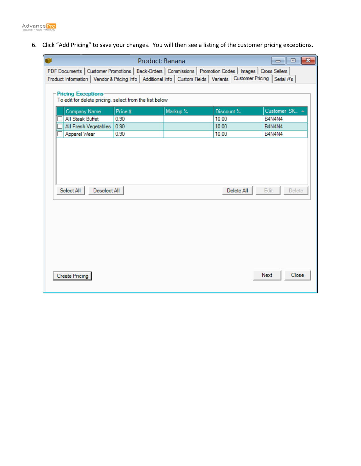

6. Click "Add Pricing" to save your changes. You will then see a listing of the customer pricing exceptions.

|                                                                                                                          | Product: Banana |          |            |                |
|--------------------------------------------------------------------------------------------------------------------------|-----------------|----------|------------|----------------|
| PDF Documents   Customer Promotions   Back-Orders   Commissions   Promotion Codes   Images   Cross Sellers               |                 |          |            |                |
| Product Information   Vendor & Pricing Info   Additional Info   Custom Fields   Variants   Customer Pricing   Serial #'s |                 |          |            |                |
| <b>Pricing Exceptions</b>                                                                                                |                 |          |            |                |
| To edit for delete pricing, select from the list below                                                                   |                 |          |            |                |
| Company Name                                                                                                             | Price \$        | Markup % | Discount % | Customer SK. ▲ |
| All Steak Buffet                                                                                                         | 0.90            |          | 10.00      | B4N4N4         |
| All Fresh Vegetables                                                                                                     | 0.90            |          | 10.00      | <b>B4N4N4</b>  |
| Apparel Wear                                                                                                             | 0.90            |          | 10.00      | <b>B4N4N4</b>  |
|                                                                                                                          |                 |          |            |                |
|                                                                                                                          |                 |          |            |                |
|                                                                                                                          |                 |          |            |                |
|                                                                                                                          |                 |          |            |                |
|                                                                                                                          |                 |          |            |                |
| Deselect All<br>Select All                                                                                               |                 |          | Delete All | Edit<br>Delete |
|                                                                                                                          |                 |          |            |                |
|                                                                                                                          |                 |          |            |                |
|                                                                                                                          |                 |          |            |                |
|                                                                                                                          |                 |          |            |                |
|                                                                                                                          |                 |          |            |                |
|                                                                                                                          |                 |          |            |                |
|                                                                                                                          |                 |          |            |                |
|                                                                                                                          |                 |          |            |                |
|                                                                                                                          |                 |          |            |                |
|                                                                                                                          |                 |          |            | Next<br>Close  |
| <b>Create Pricing</b>                                                                                                    |                 |          |            |                |
|                                                                                                                          |                 |          |            |                |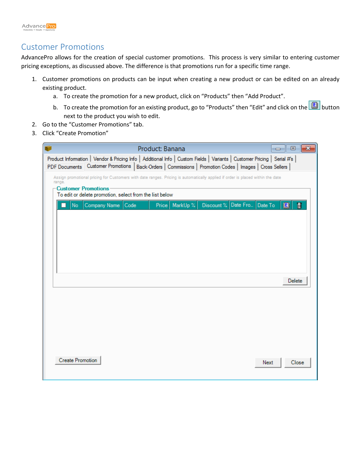#### Customer Promotions

AdvancePro allows for the creation of special customer promotions. This process is very similar to entering customer pricing exceptions, as discussed above. The difference is that promotions run for a specific time range.

- 1. Customer promotions on products can be input when creating a new product or can be edited on an already existing product.
	- a. To create the promotion for a new product, click on "Products" then "Add Product".
	- b. To create the promotion for an existing product, go to "Products" then "Edit" and click on the **button** next to the product you wish to edit.
- 2. Go to the "Customer Promotions" tab.
- 3. Click "Create Promotion"

|                                |                                                                                                                                                                                                                                        | Product: Banana |          |            |          | - 1     | $-x$<br>▣ |
|--------------------------------|----------------------------------------------------------------------------------------------------------------------------------------------------------------------------------------------------------------------------------------|-----------------|----------|------------|----------|---------|-----------|
|                                | Product Information   Vendor & Pricing Info   Additional Info   Custom Fields   Variants   Customer Pricing   Serial #'s  <br>PDF Documents Customer Promotions   Back-Orders   Commissions   Promotion Codes   Images   Cross Sellers |                 |          |            |          |         |           |
| range.<br>-Customer Promotions | Assign promotional pricing for Customers with date ranges. Pricing is automatically applied if order is placed within the date<br>To edit or delete promotion, select from the list below                                              |                 |          |            |          |         |           |
| <b>No</b>                      | Company Name Code                                                                                                                                                                                                                      | Price           | MarkUp % | Discount % | Date Fro | Date To | Ŵ<br>圓    |
|                                |                                                                                                                                                                                                                                        |                 |          |            |          |         | Delete    |
|                                |                                                                                                                                                                                                                                        |                 |          |            |          |         |           |
| <b>Create Promotion</b>        |                                                                                                                                                                                                                                        |                 |          |            |          | Next    | Close     |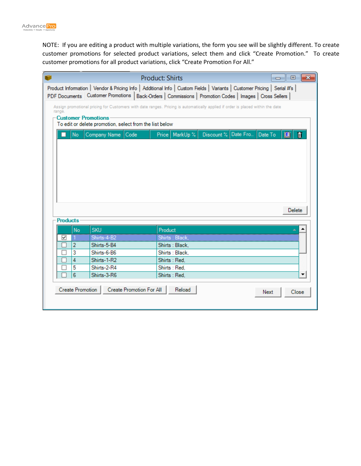NOTE: If you are editing a product with multiple variations, the form you see will be slightly different. To create customer promotions for selected product variations, select them and click "Create Promotion." To create customer promotions for all product variations, click "Create Promotion For All."

|                            |                                                         | <b>Product: Shirts</b><br>$\mathbf{x}$<br>$\Box$<br>$\Box$                                                                     |
|----------------------------|---------------------------------------------------------|--------------------------------------------------------------------------------------------------------------------------------|
|                            |                                                         | Product Information   Vendor & Pricing Info   Additional Info   Custom Fields   Variants   Customer Pricing   Serial #s        |
|                            |                                                         | PDF Documents Customer Promotions   Back-Orders   Commissions   Promotion Codes   Images   Cross Sellers                       |
| range.                     |                                                         | Assign promotional pricing for Customers with date ranges. Pricing is automatically applied if order is placed within the date |
| <b>Customer Promotions</b> |                                                         |                                                                                                                                |
|                            | To edit or delete promotion, select from the list below |                                                                                                                                |
| No                         | Company Name Code                                       | Discount % Date Fro<br>Price   MarkUp %<br>Date To<br>個<br>Ñ                                                                   |
|                            |                                                         |                                                                                                                                |
|                            |                                                         |                                                                                                                                |
|                            |                                                         |                                                                                                                                |
|                            |                                                         |                                                                                                                                |
|                            |                                                         |                                                                                                                                |
|                            |                                                         |                                                                                                                                |
|                            |                                                         |                                                                                                                                |
|                            |                                                         |                                                                                                                                |
|                            |                                                         | Delete                                                                                                                         |
| <b>Products</b>            |                                                         |                                                                                                                                |
| <b>No</b>                  | <b>SKU</b>                                              | Product                                                                                                                        |
| ∀                          | <u>Shirts-4-B2</u>                                      | Shirts : Black, <b>Alberts</b>                                                                                                 |
| 2                          | Shirts-5-B4                                             | Shirts: Black,                                                                                                                 |
| 3                          | Shirts-6-B6                                             | Shirts: Black.                                                                                                                 |
| 4                          | Shirts-1-R2                                             | Shirts: Red,                                                                                                                   |
| 5                          | Shirts-2-R4                                             | Shirts: Red.                                                                                                                   |
| 6                          | Shirts-3-R6                                             | Shirts: Red.                                                                                                                   |
| Create Promotion           | Create Promotion For All                                | Reload                                                                                                                         |
|                            |                                                         | Next<br>Close                                                                                                                  |
|                            |                                                         |                                                                                                                                |
|                            |                                                         |                                                                                                                                |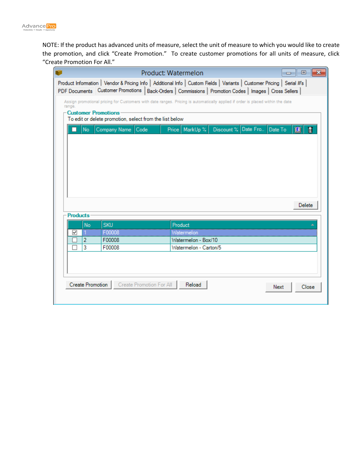

NOTE: If the product has advanced units of measure, select the unit of measure to which you would like to create the promotion, and click "Create Promotion." To create customer promotions for all units of measure, click "Create Promotion For All."

|                            |                                                                                                                                                                                                                                        | Product: Watermelon   |                             | $\Box$ | $\mathbf{x}$<br>▣ |
|----------------------------|----------------------------------------------------------------------------------------------------------------------------------------------------------------------------------------------------------------------------------------|-----------------------|-----------------------------|--------|-------------------|
|                            | Product Information   Vendor & Pricing Info   Additional Info   Custom Fields   Variants   Customer Pricing   Serial #'s  <br>PDF Documents Customer Promotions   Back-Orders   Commissions   Promotion Codes   Images   Cross Sellers |                       |                             |        |                   |
| range.                     | Assign promotional pricing for Customers with date ranges. Pricing is automatically applied if order is placed within the date                                                                                                         |                       |                             |        |                   |
| <b>Customer Promotions</b> | To edit or delete promotion, select from the list below                                                                                                                                                                                |                       |                             |        |                   |
| <b>No</b>                  | Company Name Code                                                                                                                                                                                                                      | Price   MarkUp %      | Discount % Date Fro Date To |        | Ñ<br>個            |
|                            |                                                                                                                                                                                                                                        |                       |                             |        |                   |
|                            |                                                                                                                                                                                                                                        |                       |                             |        |                   |
|                            |                                                                                                                                                                                                                                        |                       |                             |        |                   |
|                            |                                                                                                                                                                                                                                        |                       |                             |        |                   |
|                            |                                                                                                                                                                                                                                        |                       |                             |        |                   |
|                            |                                                                                                                                                                                                                                        |                       |                             |        |                   |
|                            |                                                                                                                                                                                                                                        |                       |                             |        | Delete            |
| <b>Products</b>            |                                                                                                                                                                                                                                        |                       |                             |        |                   |
| No                         | <b>SKU</b>                                                                                                                                                                                                                             | Product               |                             |        |                   |
| ☞                          | F00008                                                                                                                                                                                                                                 | Watermelon            |                             |        |                   |
| 2                          | F00008                                                                                                                                                                                                                                 | Watermelon - Box/10   |                             |        |                   |
| 3                          | F00008                                                                                                                                                                                                                                 | Watermelon - Carton/5 |                             |        |                   |
|                            |                                                                                                                                                                                                                                        |                       |                             |        |                   |
|                            |                                                                                                                                                                                                                                        |                       |                             |        |                   |
|                            |                                                                                                                                                                                                                                        |                       |                             |        |                   |
| Create Promotion           | Create Promotion For All                                                                                                                                                                                                               | Reload                |                             | Next   | Close             |
|                            |                                                                                                                                                                                                                                        |                       |                             |        |                   |
|                            |                                                                                                                                                                                                                                        |                       |                             |        |                   |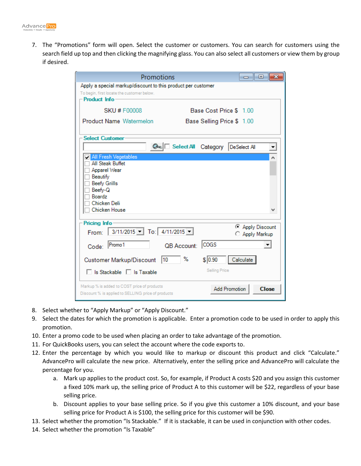

7. The "Promotions" form will open. Select the customer or customers. You can search for customers using the search field up top and then clicking the magnifying glass. You can also select all customers or view them by group if desired.

| Promotions                                                                                                                       |                                              |
|----------------------------------------------------------------------------------------------------------------------------------|----------------------------------------------|
| Apply a special markup/discount to this product per customer<br>To begin, first locate the customer below.<br>- Product Info-    |                                              |
| <b>SKU # F00008</b>                                                                                                              | Base Cost Price \$ 1.00                      |
| Product Name Watermelon                                                                                                          | Base Selling Price \$ 1.00                   |
| <b>Select Customer</b>                                                                                                           | Select All Category DeSelect All<br>▼        |
| All Fresh Vegetables                                                                                                             | ۸                                            |
| All Steak Buffet<br>Apparel Wear<br>Beautify<br><b>Beefy Grills</b><br>Beefy-Q<br><b>Boardz</b><br>Chicken Deli<br>Chicken House |                                              |
| Pricing Info                                                                                                                     |                                              |
| From: 3/11/2015 - To: 4/11/2015 -                                                                                                | Apply Discount<br>C Apply Markup             |
| Promo1<br>QB Account:<br>Code:                                                                                                   | <b>COGS</b>                                  |
| ℅<br>10<br><b>Customer Markup/Discount</b><br>□ Is Stackable □ Is Taxable                                                        | \$ 0.90<br>Calculate<br><b>Selling Price</b> |
| Markup % is added to COST price of products<br>Discount % is applied to SELLING price of products                                | <b>Add Promotion</b><br><b>Close</b>         |

- 8. Select whether to "Apply Markup" or "Apply Discount."
- 9. Select the dates for which the promotion is applicable. Enter a promotion code to be used in order to apply this promotion.
- 10. Enter a promo code to be used when placing an order to take advantage of the promotion.
- 11. For QuickBooks users, you can select the account where the code exports to.
- 12. Enter the percentage by which you would like to markup or discount this product and click "Calculate." AdvancePro will calculate the new price. Alternatively, enter the selling price and AdvancePro will calculate the percentage for you.
	- a. Mark up applies to the product cost. So, for example, if Product A costs \$20 and you assign this customer a fixed 10% mark up, the selling price of Product A to this customer will be \$22, regardless of your base selling price.
	- b. Discount applies to your base selling price. So if you give this customer a 10% discount, and your base selling price for Product A is \$100, the selling price for this customer will be \$90.
- 13. Select whether the promotion "Is Stackable." If it is stackable, it can be used in conjunction with other codes.
- 14. Select whether the promotion "Is Taxable"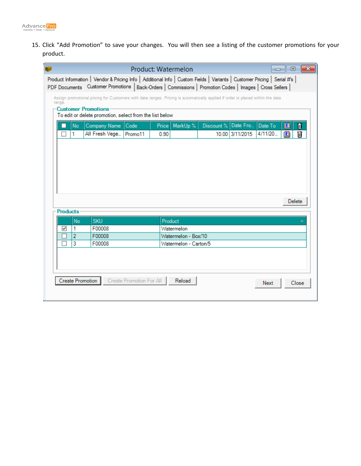

15. Click "Add Promotion" to save your changes. You will then see a listing of the customer promotions for your product.

|                 |    |                                                         |                          | Product: Watermelon |                       |                                                                                                                                |                 |          | $\Box$ 0     | ⊩х    |
|-----------------|----|---------------------------------------------------------|--------------------------|---------------------|-----------------------|--------------------------------------------------------------------------------------------------------------------------------|-----------------|----------|--------------|-------|
|                 |    |                                                         |                          |                     |                       | Product Information   Vendor & Pricing Info   Additional Info   Custom Fields   Variants   Customer Pricing   Serial #'s       |                 |          |              |       |
|                 |    |                                                         |                          |                     |                       | PDF Documents Customer Promotions   Back-Orders   Commissions   Promotion Codes   Images   Cross Sellers                       |                 |          |              |       |
| range.          |    |                                                         |                          |                     |                       | Assign promotional pricing for Customers with date ranges. Pricing is automatically applied if order is placed within the date |                 |          |              |       |
|                 |    | -Customer Promotions                                    |                          |                     |                       |                                                                                                                                |                 |          |              |       |
|                 |    | To edit or delete promotion, select from the list below |                          |                     |                       |                                                                                                                                |                 |          |              |       |
|                 | No | Company Name                                            | Code                     |                     | Price   MarkUp %      | Discount %                                                                                                                     | Date Fro        | Date To  | 圓            | Û     |
|                 | 1  | All Fresh Vege   Promo11                                |                          | 0.90                |                       |                                                                                                                                | 10.00 3/11/2015 | 4/11/20. | $\mathbf{E}$ | Ŵ     |
|                 |    |                                                         |                          |                     |                       |                                                                                                                                |                 |          |              |       |
|                 |    |                                                         |                          |                     |                       |                                                                                                                                |                 |          |              |       |
|                 |    |                                                         |                          |                     |                       |                                                                                                                                |                 |          |              |       |
|                 |    |                                                         |                          |                     |                       |                                                                                                                                |                 |          |              |       |
|                 |    |                                                         |                          |                     |                       |                                                                                                                                |                 |          |              |       |
|                 |    |                                                         |                          |                     |                       |                                                                                                                                |                 |          |              |       |
|                 |    |                                                         |                          |                     |                       |                                                                                                                                |                 |          |              |       |
|                 |    |                                                         |                          |                     |                       |                                                                                                                                |                 |          |              |       |
|                 |    |                                                         |                          |                     |                       |                                                                                                                                |                 |          |              |       |
|                 |    |                                                         |                          |                     |                       |                                                                                                                                |                 |          | Delete       |       |
| <b>Products</b> |    |                                                         |                          |                     |                       |                                                                                                                                |                 |          |              |       |
|                 | No | <b>SKU</b>                                              |                          |                     | Product               |                                                                                                                                |                 |          |              |       |
| ☑               | 1  | F00008                                                  |                          |                     | Watermelon            |                                                                                                                                |                 |          |              |       |
|                 | 2  | F00008                                                  |                          |                     | Watermelon - Box/10   |                                                                                                                                |                 |          |              |       |
|                 | 3  | F00008                                                  |                          |                     | Watermelon - Carton/5 |                                                                                                                                |                 |          |              |       |
|                 |    |                                                         |                          |                     |                       |                                                                                                                                |                 |          |              |       |
|                 |    |                                                         |                          |                     |                       |                                                                                                                                |                 |          |              |       |
|                 |    |                                                         |                          |                     |                       |                                                                                                                                |                 |          |              |       |
|                 |    |                                                         |                          |                     |                       |                                                                                                                                |                 |          |              |       |
|                 |    | Create Promotion                                        | Create Promotion For All |                     | Reload                |                                                                                                                                |                 | Next     |              | Close |
|                 |    |                                                         |                          |                     |                       |                                                                                                                                |                 |          |              |       |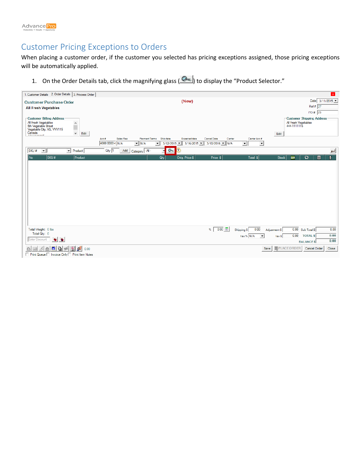

## Customer Pricing Exceptions to Orders

When placing a customer order, if the customer you selected has pricing exceptions assigned, those pricing exceptions will be automatically applied.

1. On the Order Details tab, click the magnifying glass ( $\circledast$ ) to display the "Product Selector."

| 1. Customer Details 2. Order Details 3. Process Order                |                                                                                                                                                                                                       | $\mathbf{x}$                                          |
|----------------------------------------------------------------------|-------------------------------------------------------------------------------------------------------------------------------------------------------------------------------------------------------|-------------------------------------------------------|
| <b>Customer Purchase Order</b>                                       | (New)                                                                                                                                                                                                 | Date 3/11/2015                                        |
| <b>All Fresh Vegetables</b>                                          |                                                                                                                                                                                                       | Ref# 27                                               |
|                                                                      |                                                                                                                                                                                                       | PO # 23                                               |
| <b>Customer Billing Address</b>                                      |                                                                                                                                                                                                       | <b>Customer Shipping Address</b>                      |
| All Fresh Vegetables<br>5th Vegetable Street                         |                                                                                                                                                                                                       | All Fresh Vegetables<br>444-1111115                   |
| $\frac{1}{\sqrt{2}}$<br>Vegetable City, VG, VVV115<br>Canada<br>Edit |                                                                                                                                                                                                       | Edit                                                  |
| <b>**********</b>                                                    | Sales Rep<br>Payment Terms Ship date<br><b>Expected date</b><br>Cancel Date<br>Carrier<br>Acc#<br>Carrier Acc #                                                                                       |                                                       |
|                                                                      | 4000 0000 4 N/A<br>$\mathbf{v}$ N/A<br>$3/12/2015$ $\bullet$ $\parallel$ 3/16/2015 $\bullet$ $\parallel$ 3/10/2016 $\bullet$ $\parallel$ N/A<br>$\vert \cdot \vert$<br>$\mathbf{v}$<br>$\overline{ }$ |                                                       |
| SKU#<br>∣▼∥<br>$\overline{\phantom{a}}$ Product                      | $Q_{40}$<br>$\bullet$<br>Add<br>Qty 1<br>Category - All -<br>ᆔ                                                                                                                                        | $\overline{\phantom{0}}$                              |
| SKU#<br>Product<br>  No                                              | Total \$<br>Orig. Price \$<br>Price \$<br>Qty                                                                                                                                                         | $\mathbf{0}$<br>$\bullet$<br>目<br><b>Stock</b><br>BOM |
|                                                                      |                                                                                                                                                                                                       |                                                       |
|                                                                      |                                                                                                                                                                                                       |                                                       |
|                                                                      |                                                                                                                                                                                                       |                                                       |
|                                                                      |                                                                                                                                                                                                       |                                                       |
|                                                                      |                                                                                                                                                                                                       |                                                       |
|                                                                      |                                                                                                                                                                                                       |                                                       |
|                                                                      |                                                                                                                                                                                                       |                                                       |
|                                                                      |                                                                                                                                                                                                       |                                                       |
|                                                                      |                                                                                                                                                                                                       |                                                       |
|                                                                      |                                                                                                                                                                                                       |                                                       |
|                                                                      |                                                                                                                                                                                                       |                                                       |
| Total Weight: 0 lbs                                                  | 0.00<br>0.00<br>%<br>Shipping \$                                                                                                                                                                      | 0.00<br>0.00 Sub Total \$<br>Adjustment \$            |
| Total Qty: 0                                                         | Tax % N/A<br>$\vert \mathbf{v} \vert$                                                                                                                                                                 | 0.00<br>0.00<br><b>TOTAL \$</b><br>TaxS               |
| Enter Discount                                                       |                                                                                                                                                                                                       | 0.00<br><b>BALANCES</b>                               |
| للط<br>自<br>$\left  \mathbf{Q} \right $<br>ø<br>ê<br>凾<br>0.00<br>ta | Save                                                                                                                                                                                                  | <b>I</b> PLACE ORDER<br><b>Cancel Order</b><br>Close  |
| □ Print Queue □ Invoice Only□ Print Item Notes                       |                                                                                                                                                                                                       |                                                       |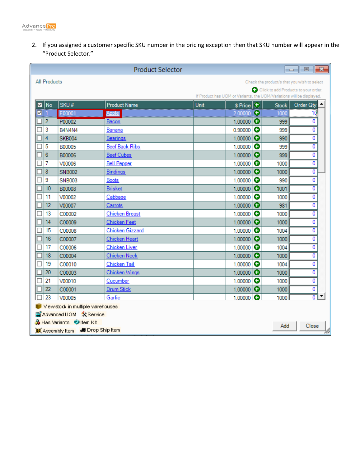

2. If you assigned a customer specific SKU number in the pricing exception then that SKU number will appear in the "Product Selector."

| $\mathbf{x}$<br><b>Product Selector</b><br>▣<br>$\Box$                |                                                             |                       |      |                   |   |              |                               |  |  |
|-----------------------------------------------------------------------|-------------------------------------------------------------|-----------------------|------|-------------------|---|--------------|-------------------------------|--|--|
|                                                                       | All Products<br>Check the product/s that you wish to select |                       |      |                   |   |              |                               |  |  |
| Click to add Products to your order.                                  |                                                             |                       |      |                   |   |              |                               |  |  |
| If Product has UOM or Variants, the UOM/Variations will be displayed. |                                                             |                       |      |                   |   |              |                               |  |  |
| No<br>M                                                               | SKU#                                                        | <b>Product Name</b>   | Unit | \$ Price <b>+</b> |   | <b>Stock</b> | $\blacktriangle$<br>Order Qty |  |  |
| ✓                                                                     | F00001                                                      | <b>Apple</b>          |      | 2.00000           | Θ | 1000         | 10                            |  |  |
| 2                                                                     | P00002                                                      | Bacon                 |      | 1.00000           | ο | 999          | 0                             |  |  |
| 3                                                                     | B4N4N4                                                      | Banana                |      | 0.90000           | 0 | 999          | 0                             |  |  |
| 4                                                                     | <b>SKB004</b>                                               | <b>Bearings</b>       |      | 1.00000           | ο | 990          | 0                             |  |  |
| 5                                                                     | B00005                                                      | <b>Beef Back Ribs</b> |      | 1.00000           | 0 | 999          | 0                             |  |  |
| 6                                                                     | <b>B00006</b>                                               | <b>Beef Cubes</b>     |      | 1.00000           |   | 999          | 0                             |  |  |
| 7                                                                     | V00006                                                      | <b>Bell Pepper</b>    |      | 1.00000           | Θ | 1000         | 0                             |  |  |
| 8                                                                     | <b>SNB002</b>                                               | Bindings              |      | 1.00000           | ο | 1000         | 0                             |  |  |
| 9                                                                     | <b>SNB003</b>                                               | <b>Boots</b>          |      | 1.00000           | Θ | 990          | 0                             |  |  |
| 10                                                                    | <b>B00008</b>                                               | <b>Brisket</b>        |      | 1.00000           | ο | 1001         | 0                             |  |  |
| 11                                                                    | V00002                                                      | Cabbage               |      | 1.00000           | Θ | 1000         | 0                             |  |  |
| 12                                                                    | V00007                                                      | Carrots               |      | 1.00000           | ο | 981          | 0                             |  |  |
| 13                                                                    | C00002                                                      | Chicken Breast        |      | 1.00000           | Θ | 1000         | 0                             |  |  |
| 14                                                                    | C00009                                                      | <b>Chicken Feet</b>   |      | 1.00000           | ο | 1000         | 0                             |  |  |
| 15                                                                    | C00008                                                      | Chicken Gizzard       |      | 1.00000           | 0 | 1004         | 0                             |  |  |
| 16                                                                    | C00007                                                      | Chicken Heart         |      | 1.00000           |   | 1000         | 0                             |  |  |
| 17                                                                    | C00006                                                      | <b>Chicken Liver</b>  |      | 1.00000           | Θ | 1004         | 0                             |  |  |
| 18                                                                    | C00004                                                      | <b>Chicken Neck</b>   |      | 1.00000           | ۰ | 1000         | 0                             |  |  |
| 19                                                                    | C00010                                                      | Chicken Tail          |      | 1.00000           | 0 | 1004         | 0                             |  |  |
| 20                                                                    | C00003                                                      | Chicken Wings         |      | 1.00000           |   | 1000         | 0                             |  |  |
| 21                                                                    | V00010                                                      | Cucumber              |      | 1.00000           | 0 | 1000         | 0                             |  |  |
| 22                                                                    | C00001                                                      | <b>Drum Stick</b>     |      | 1.00000           | ο | 1000         | 0                             |  |  |
| 23                                                                    | V00005                                                      | Garlic                |      | 1.00000           |   | 1000         | $\overline{0}$                |  |  |
|                                                                       | View stock in multiple warehouses                           |                       |      |                   |   |              |                               |  |  |
|                                                                       | 田 Advanced UOM X Service                                    |                       |      |                   |   |              |                               |  |  |
| ón Has Variants M≶ltem Kit<br>Close<br>Add                            |                                                             |                       |      |                   |   |              |                               |  |  |
|                                                                       | « Drop Ship Item<br>Assembly Item                           |                       |      |                   |   |              |                               |  |  |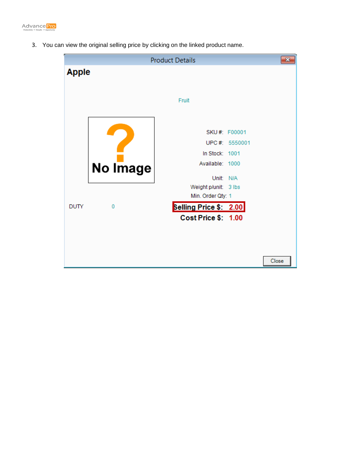

3. You can view the original selling price by clicking on the linked product name.

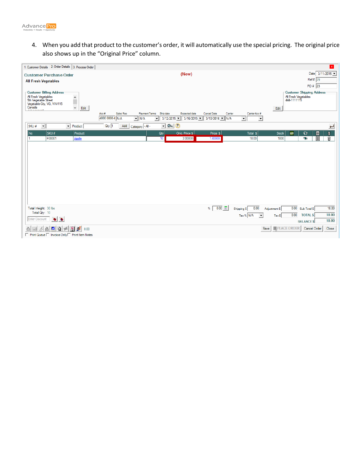

4. When you add that product to the customer's order, it will automatically use the special pricing. The original price also shows up in the "Original Price" column.

| 1. Customer Details 2. Order Details 3. Process Order          |                                                                                                                                                                   | $\mathbf{x}$                                         |
|----------------------------------------------------------------|-------------------------------------------------------------------------------------------------------------------------------------------------------------------|------------------------------------------------------|
|                                                                |                                                                                                                                                                   |                                                      |
| <b>Customer Purchase Order</b>                                 | (New)                                                                                                                                                             | Date 3/11/2015                                       |
| <b>All Fresh Vegetables</b>                                    |                                                                                                                                                                   | Ref # 29                                             |
|                                                                |                                                                                                                                                                   | PO # 23                                              |
| <b>Customer Billing Address</b>                                |                                                                                                                                                                   | <b>Customer Shipping Address</b>                     |
| All Fresh Vegetables<br>5th Vegetable Street                   |                                                                                                                                                                   | All Fresh Vegetables<br>444-1111115                  |
| $\frac{1}{\sqrt{2}}$<br>Vegetable City, VG, VVV115             |                                                                                                                                                                   |                                                      |
| Canada<br>Edit<br><b>**********</b>                            |                                                                                                                                                                   | Edit                                                 |
|                                                                | Sales Rep<br>Payment Terms Ship date<br><b>Expected date</b><br>Cancel Date<br>Carrier Acc #<br>Acc#<br>Carrier                                                   |                                                      |
|                                                                | 4000 0000 4 N/A<br>$3/12/2015$ $\bullet$ $\parallel$ 3/16/2015 $\bullet$ 3/10/2016 $\bullet$ N/A<br>ᆒ<br>$\mathbf{v}$ N/A<br>$\mathbf{v}$<br>$\blacktriangledown$ |                                                      |
| SKU#<br>$\vert \cdot \vert$<br>$\blacktriangleright$ Product   | $\boxed{\blacksquare \lhd \blacksquare}$<br>$Qty$ 1<br>Add<br>Category - All -                                                                                    | $\overline{\phantom{0}}$                             |
| Product<br>  No<br>SKU#                                        | Orig. Price \$<br>Price \$<br>Total \$<br>Qty                                                                                                                     | Ô.<br>$\bullet$<br><b>Stock</b><br>目<br>BOM          |
| F00001<br>Apple<br>1                                           | 2.00000<br>10<br>1.80000<br>18.00                                                                                                                                 | 圓<br>Û<br>$\bullet$<br>1000                          |
|                                                                |                                                                                                                                                                   |                                                      |
|                                                                |                                                                                                                                                                   |                                                      |
|                                                                |                                                                                                                                                                   |                                                      |
|                                                                |                                                                                                                                                                   |                                                      |
|                                                                |                                                                                                                                                                   |                                                      |
|                                                                |                                                                                                                                                                   |                                                      |
|                                                                |                                                                                                                                                                   |                                                      |
|                                                                |                                                                                                                                                                   |                                                      |
|                                                                |                                                                                                                                                                   |                                                      |
|                                                                |                                                                                                                                                                   |                                                      |
|                                                                |                                                                                                                                                                   |                                                      |
|                                                                |                                                                                                                                                                   |                                                      |
| Total Weight: 30 lbs                                           | 0.00<br>0.00<br>%<br>Shipping \$                                                                                                                                  | 18.00<br>0.00 Sub Total \$<br>Adjustment \$          |
| Total Qty: 10                                                  | Tax $\%$ N/A<br>$\vert \mathbf{v} \vert$                                                                                                                          | 0.00<br>18.00<br><b>TOTAL \$</b><br>$Tax$ \$         |
| Enter Discount                                                 |                                                                                                                                                                   | 18.00<br><b>BALANCES</b>                             |
| ΔÎ<br>$\frac{\mathbf{Q}}{\mathbf{H}}$<br>đ<br>M<br>0.00<br>tB. | Save                                                                                                                                                              | <b>I</b> PLACE ORDER<br>Close<br><b>Cancel Order</b> |
| □ Print Queue □ Invoice Only□ Print Item Notes                 |                                                                                                                                                                   |                                                      |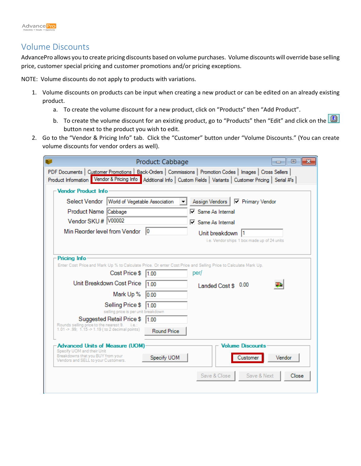#### Volume Discounts

AdvancePro allows you to create pricing discounts based on volume purchases. Volume discounts will override base selling price, customer special pricing and customer promotions and/or pricing exceptions.

NOTE: Volume discounts do not apply to products with variations.

- 1. Volume discounts on products can be input when creating a new product or can be edited on an already existing product.
	- a. To create the volume discount for a new product, click on "Products" then "Add Product".
	- b. To create the volume discount for an existing product, go to "Products" then "Edit" and click on the  $\Box$ button next to the product you wish to edit.
- 2. Go to the "Vendor & Pricing Info" tab. Click the "Customer" button under "Volume Discounts." (You can create volume discounts for vendor orders as well).

| Product: Cabbage                                                                                                                                                                                                                      | $\mathbf{x}$<br>$\Box$<br>$\Box$            |
|---------------------------------------------------------------------------------------------------------------------------------------------------------------------------------------------------------------------------------------|---------------------------------------------|
| PDF Documents   Customer Promotions   Back-Orders   Commissions   Promotion Codes   Images   Cross Sellers<br>Product Information Vendor & Pricing Info<br>Additional Info   Custom Fields   Variants   Customer Pricing   Serial #'s |                                             |
| -Vendor Product Info                                                                                                                                                                                                                  |                                             |
| Select Vendor<br>World of Vegetable Association<br>Assign Vendors                                                                                                                                                                     | □ Primary Vendor                            |
| <b>▽</b> Same As Internal<br>Product Name Cabbage                                                                                                                                                                                     |                                             |
| Vendor SKU #   V00002<br><b>⊡</b> Same As Internal                                                                                                                                                                                    |                                             |
| Min Reorder level from Vendor   0<br>Unit breakdown  1                                                                                                                                                                                |                                             |
|                                                                                                                                                                                                                                       | i.e. Vendor ships 1 box made up of 24 units |
|                                                                                                                                                                                                                                       |                                             |
| <b>Pricing Info</b><br>Enter Cost Price and Mark Up % to Calculate Price. Or enter Cost Price and Selling Price to Calculate Mark Up.                                                                                                 |                                             |
| Cost Price \$<br>1.00<br>per/                                                                                                                                                                                                         |                                             |
| Unit Breakdown Cost Price<br>100<br>Landed Cost \$ 0.00                                                                                                                                                                               |                                             |
| Mark Up %<br>0.00                                                                                                                                                                                                                     |                                             |
| Selling Price \$<br>11.00                                                                                                                                                                                                             |                                             |
| selling price is per unit breakdown                                                                                                                                                                                                   |                                             |
| Suggested Retail Price \$<br>1.00<br>Rounds selling price to the nearest 9. i.e.:<br>1.01 $\gg$ .99; 1.15 $\gg$ 1.19 (to 2 decimal points)                                                                                            |                                             |
| <b>Round Price</b>                                                                                                                                                                                                                    |                                             |
| <b>Advanced Units of Measure (UOM)</b>                                                                                                                                                                                                | <b>Volume Discounts</b>                     |
| Specify UOM and their Unit<br>Breakdowns that you BUY from your<br>Specify UOM<br>Vendors and SELL to your Customers.                                                                                                                 | Vendor<br>Customer                          |
| Save & Close                                                                                                                                                                                                                          | Save & Next<br>Close                        |
|                                                                                                                                                                                                                                       |                                             |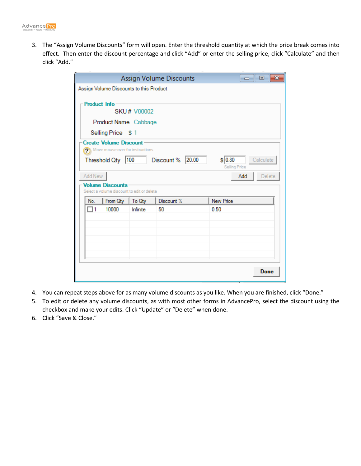3. The "Assign Volume Discounts" form will open. Enter the threshold quantity at which the price break comes into effect. Then enter the discount percentage and click "Add" or enter the selling price, click "Calculate" and then click "Add."

|              |                                                                       |                    | Assign Volume Discounts | - - 0<br>$\mathbf{x}$                        |  |  |  |  |  |
|--------------|-----------------------------------------------------------------------|--------------------|-------------------------|----------------------------------------------|--|--|--|--|--|
|              | Assign Volume Discounts to this Product                               |                    |                         |                                              |  |  |  |  |  |
| Product Info |                                                                       | <b>SKU# V00002</b> |                         |                                              |  |  |  |  |  |
|              | Product Name Cabbage                                                  |                    |                         |                                              |  |  |  |  |  |
|              | Selling Price \$1                                                     |                    |                         |                                              |  |  |  |  |  |
|              | <b>Create Volume Discount</b><br>> Move mouse over for instructions   |                    |                         |                                              |  |  |  |  |  |
|              | Threshold Qty   100                                                   |                    | 20.00<br>Discount %     | \$ 0.80<br>Calculate<br><b>Selling Price</b> |  |  |  |  |  |
| Add New      |                                                                       |                    |                         | Delete<br>Add                                |  |  |  |  |  |
|              | <b>Volume Discounts</b><br>Select a volume discount to edit or delete |                    |                         |                                              |  |  |  |  |  |
| No.          | From Qty                                                              | To Qty             | Discount %              | <b>New Price</b>                             |  |  |  |  |  |
| ∃1           | 10000                                                                 | Infinite           | 50                      | 0.50                                         |  |  |  |  |  |
|              |                                                                       |                    |                         |                                              |  |  |  |  |  |
|              |                                                                       |                    |                         |                                              |  |  |  |  |  |
|              |                                                                       |                    |                         | <b>Done</b>                                  |  |  |  |  |  |

- 4. You can repeat steps above for as many volume discounts as you like. When you are finished, click "Done."
- 5. To edit or delete any volume discounts, as with most other forms in AdvancePro, select the discount using the checkbox and make your edits. Click "Update" or "Delete" when done.
- 6. Click "Save & Close."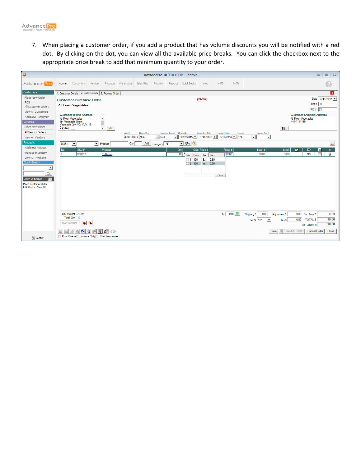7. When placing a customer order, if you add a product that has volume discounts you will be notified with a red dot. By clicking on the dot, you can view all the available price breaks. You can click the checkbox next to the appropriate price break to add that minimum quantity to your order.

| Ø                                                                                                                       |                                                                                          |                                                               |                        |                                                     |                              |                              |                    |                                         | AdvancePro 10.00.0.1000* - admin                                                                                           |                                                           |             |              |                          |                                           |                        |                                                                   | $\Box$                                             | $\Box$ $\Box$                       |
|-------------------------------------------------------------------------------------------------------------------------|------------------------------------------------------------------------------------------|---------------------------------------------------------------|------------------------|-----------------------------------------------------|------------------------------|------------------------------|--------------------|-----------------------------------------|----------------------------------------------------------------------------------------------------------------------------|-----------------------------------------------------------|-------------|--------------|--------------------------|-------------------------------------------|------------------------|-------------------------------------------------------------------|----------------------------------------------------|-------------------------------------|
| Advance Pro                                                                                                             | Admin                                                                                    | Customers                                                     | Vendors                |                                                     | Products Warehouse Sales Rep |                              | <b>Returns</b>     |                                         | Reports QuickBooks                                                                                                         | Web.                                                      | MFG.        | <b>MCR</b>   |                          |                                           |                        |                                                                   |                                                    |                                     |
| <b>Customers</b>                                                                                                        |                                                                                          | 1. Customer Details 2. Order Details 3. Process Order         |                        |                                                     |                              |                              |                    |                                         |                                                                                                                            |                                                           |             |              |                          |                                           |                        |                                                                   |                                                    | $\mathbf{x}$                        |
| Place New Order<br>POS<br>All Customer Orders                                                                           |                                                                                          | <b>Customer Purchase Order</b><br><b>All Fresh Vegetables</b> |                        |                                                     |                              |                              |                    |                                         |                                                                                                                            | (New)                                                     |             |              |                          |                                           |                        |                                                                   | Ref # 30                                           | Date $3/11/2015$ $\sim$             |
| View All Customers<br>Add New Customer<br><b>Vendors</b><br>Place New Order                                             | All Fresh Vegetables<br>5th Vegetable Street<br>Canada<br><b><i><u>AAAAAAAA</u>n</i></b> | -Customer Billing Address<br>Vegetable City, VG, VVV115       |                        | $\hat{\phantom{a}}$<br>$\checkmark$<br>Edit         |                              |                              |                    |                                         |                                                                                                                            |                                                           |             |              |                          |                                           | Edit                   | -Customer Shipping Address<br>All Fresh Vegetables<br>444-1111115 | PO # 23                                            |                                     |
| All Vendor Orders<br>View All Vendors                                                                                   |                                                                                          |                                                               |                        |                                                     | Acc #                        | Sales Rep<br>4000 0000 4 N/A | $\mathbf{V}$ N/A   | Payment Terms Ship date<br>$\mathbf{v}$ | $3/12/2015$ $\triangleright$ $\parallel$ 3/16/2015 $\triangleright$ $\parallel$ 3/10/2016 $\triangleright$ $\parallel$ N/A | <b>Expected date</b>                                      | Cancel Date | Carrier      | $\mathbf{r}$             | Carrier Acc #<br>$\overline{\phantom{a}}$ |                        |                                                                   |                                                    |                                     |
| Products<br>Add New Product<br>Manage Inventory<br>View All Products<br><b>Quick Search</b><br>$\overline{\phantom{a}}$ | SKU#<br>No                                                                               | $\vert$<br>SKU#<br>V00002                                     |                        | $\blacktriangleright$ Product<br>Product<br>Cabbage | $Qty$ 1                      | Add                          | Category   - All - | Qty                                     | $\overline{\phantom{a}}$ 2<br>10<br>No.<br>From<br>$\Box$ 1<br>100                                                         | Orig. Price \$<br>  To   Price<br>9 0.80<br>2 100 In 0.50 | Price \$    | <b>DOOOO</b> |                          | Total \$<br>10.00                         | <b>Stock</b><br>1000   | $\bullet$<br>BOM<br>$\bullet$                                     | E<br>目                                             | $\overline{\phantom{0}}$<br>Ô.<br>Ĥ |
| Open Windows<br>$\equiv$<br><b>Place Customer Order</b><br>Edit Product/Item Kit                                        |                                                                                          |                                                               |                        |                                                     |                              |                              |                    |                                         |                                                                                                                            |                                                           | Close       |              |                          |                                           |                        |                                                                   |                                                    |                                     |
|                                                                                                                         | <b>Enter Discount</b>                                                                    | Total Weight: 20 lbs<br>Total Qty: 10<br>$\bullet$            |                        |                                                     |                              |                              |                    |                                         |                                                                                                                            |                                                           | %           | 0.00         | Shipping \$<br>Tax % N/A | 0.00<br>$\overline{\phantom{a}}$          | Adjustment \$<br>Tax S | 0.00<br>0.00                                                      | Sub Total \$<br><b>TOTAL \$</b><br><b>BALANCES</b> | 10.00<br>10.00<br>10.00             |
| <b>R</b> Logout                                                                                                         | ₿                                                                                        | M<br>凾<br>□ Print Queue □ Invoice Only □ Print Item Notes     | 商<br>$\mathbf{Q}$<br>四 | للو<br>0.00                                         |                              |                              |                    |                                         |                                                                                                                            |                                                           |             |              |                          | Save                                      | <b>IDPLACE ORDER</b>   |                                                                   | Cancel Order                                       | Close                               |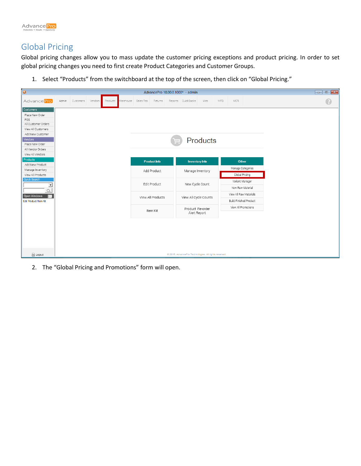

## Global Pricing

Global pricing changes allow you to mass update the customer pricing exceptions and product pricing. In order to set global pricing changes you need to first create Product Categories and Customer Groups.

1. Select "Products" from the switchboard at the top of the screen, then click on "Global Pricing."

| $\bullet$                                                                                                                                               |       |           |         |                              |                                                     |                     |  | AdvancePro 10.00.0.1000* - admin                      |                 |     |            |                                                         |  |  |  |
|---------------------------------------------------------------------------------------------------------------------------------------------------------|-------|-----------|---------|------------------------------|-----------------------------------------------------|---------------------|--|-------------------------------------------------------|-----------------|-----|------------|---------------------------------------------------------|--|--|--|
| AdvancePro                                                                                                                                              | Admin | Customers | Vendors | Products Warehouse Sales Rep |                                                     | Returns             |  | Reports QuickBooks                                    | Web             | MFG | <b>MCR</b> |                                                         |  |  |  |
| Customers<br>Place New Order<br>POS<br>All Customer Orders<br>View All Customers<br>Add New Customer<br>Vendors<br>Place New Order<br>All Vendor Orders |       |           |         |                              |                                                     |                     |  |                                                       | <b>Products</b> |     |            |                                                         |  |  |  |
| View All Vendors<br>Products                                                                                                                            |       |           |         |                              |                                                     | <b>Product Info</b> |  | <b>Inventory Info</b>                                 |                 |     |            | Other                                                   |  |  |  |
| Add New Product<br>Manage Inventory<br>View All Products                                                                                                |       |           |         |                              |                                                     | Add Product         |  | Manage Inventory                                      |                 |     |            | Manage Categories<br>Global Pricing                     |  |  |  |
| <b>Quick Search</b>                                                                                                                                     |       |           |         |                              |                                                     | Edit Product        |  | New Cycle Count                                       |                 |     |            | Variant Manager                                         |  |  |  |
| $\blacktriangledown$                                                                                                                                    |       |           |         |                              |                                                     |                     |  |                                                       |                 |     |            | New Raw Material                                        |  |  |  |
| Open Windows<br>巨<br>Edit Product/Item Kit                                                                                                              |       |           |         |                              |                                                     | View All Products   |  | View All Cycle Counts                                 |                 |     |            | View All Raw Materials<br><b>Build Finished Product</b> |  |  |  |
|                                                                                                                                                         |       |           |         |                              | View All Promotions<br>Product Re-order<br>Item Kit |                     |  |                                                       |                 |     |            |                                                         |  |  |  |
|                                                                                                                                                         |       |           |         |                              |                                                     |                     |  | Alert Report                                          |                 |     |            |                                                         |  |  |  |
|                                                                                                                                                         |       |           |         |                              |                                                     |                     |  |                                                       |                 |     |            |                                                         |  |  |  |
| a Logout                                                                                                                                                |       |           |         |                              |                                                     |                     |  | @ 2015, AdvancePro Technologies. All rights reserved. |                 |     |            |                                                         |  |  |  |

2. The "Global Pricing and Promotions" form will open.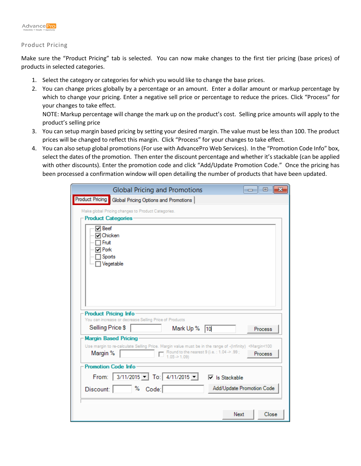

#### Product Pricing

Make sure the "Product Pricing" tab is selected. You can now make changes to the first tier pricing (base prices) of products in selected categories.

- 1. Select the category or categories for which you would like to change the base prices.
- 2. You can change prices globally by a percentage or an amount. Enter a dollar amount or markup percentage by which to change your pricing. Enter a negative sell price or percentage to reduce the prices. Click "Process" for your changes to take effect.

NOTE: Markup percentage will change the mark up on the product's cost. Selling price amounts will apply to the product's selling price

- 3. You can setup margin based pricing by setting your desired margin. The value must be less than 100. The product prices will be changed to reflect this margin. Click "Process" for your changes to take effect.
- 4. You can also setup global promotions (For use with AdvancePro Web Services). In the "Promotion Code Info" box, select the dates of the promotion. Then enter the discount percentage and whether it's stackable (can be applied with other discounts). Enter the promotion code and click "Add/Update Promotion Code." Once the pricing has been processed a confirmation window will open detailing the number of products that have been updated.

| <b>Global Pricing and Promotions</b><br>- 0<br>x                                                                                                                                                                                                                |
|-----------------------------------------------------------------------------------------------------------------------------------------------------------------------------------------------------------------------------------------------------------------|
| <b>Product Pricing</b><br>Global Pricing Options and Promotions                                                                                                                                                                                                 |
| Make global Pricing changes to Product Categories.<br><b>Product Categories</b>                                                                                                                                                                                 |
| $\nabla$ Beef<br><b>□</b> Chicken<br>∏ Fruit<br><b>⊡</b> Pork<br>Sports<br>Vegetable                                                                                                                                                                            |
| <b>Product Pricing Info</b><br>You can increase or decrease Selling Price of Products                                                                                                                                                                           |
| Selling Price \$<br>Mark Up % 10<br>Process                                                                                                                                                                                                                     |
| <b>Margin Based Pricing</b><br>Use margin to re-calculate Selling Price. Margin value must be in the range of -(Infinity) <margin<100<br>Round to the nearest 9 (i.e.: 1.04 -&gt; .99;<br/>Margin %<br/>Process<br/><math>1.05 \div 1.09</math></margin<100<br> |
| <b>Promotion Code Info</b>                                                                                                                                                                                                                                      |
| From: $3/11/2015 - $ To: $4/11/2015 -$<br>$\overline{\vee}$ Is Stackable                                                                                                                                                                                        |
| Add/Update Promotion Code<br>% Code:<br>Discount:                                                                                                                                                                                                               |
| Next<br>Close                                                                                                                                                                                                                                                   |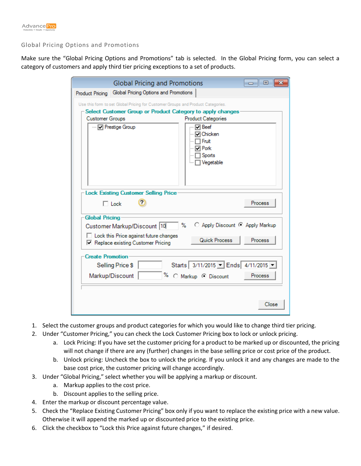

#### Global Pricing Options and Promotions

Make sure the "Global Pricing Options and Promotions" tab is selected. In the Global Pricing form, you can select a category of customers and apply third tier pricing exceptions to a set of products.

|                          | <b>Global Pricing and Promotions</b>                                                                                                                                           |                                                                                                              | -- 0    |
|--------------------------|--------------------------------------------------------------------------------------------------------------------------------------------------------------------------------|--------------------------------------------------------------------------------------------------------------|---------|
| Product Pricing          | Global Pricing Options and Promotions                                                                                                                                          |                                                                                                              |         |
| <b>Customer Groups</b>   | Use this form to set Global Pricing for Customer Groups and Product Categories.<br>-Select Customer Group or Product Category to apply changes<br>--- <b>IV</b> Prestige Group | <b>Product Categories</b><br>l⊽l Beef<br><b>□ Chicken</b><br>Fruit<br>l⊽l Pork<br><b>Sports</b><br>Vegetable |         |
|                          | - Lock Existing Customer Selling Price<br>$\overline{r}$<br>$\Box$ Lock                                                                                                        |                                                                                                              | Process |
| <b>Global Pricing</b>    | Customer Markup/Discount 10                                                                                                                                                    | C Apply Discount C Apply Markup<br>℅                                                                         |         |
|                          | $\Box$ Lock this Price against future changes<br>□ Replace existing Customer Pricing                                                                                           | <b>Quick Process</b>                                                                                         | Process |
| <b>Create Promotion:</b> | Selling Price \$<br>Markup/Discount                                                                                                                                            | Starts 3/11/2015 - Ends 4/11/2015 -<br>% C Markup © Discount                                                 | Process |
|                          |                                                                                                                                                                                |                                                                                                              | Close   |

- 1. Select the customer groups and product categories for which you would like to change third tier pricing.
- 2. Under "Customer Pricing," you can check the Lock Customer Pricing box to lock or unlock pricing.
	- a. Lock Pricing: If you have set the customer pricing for a product to be marked up or discounted, the pricing will not change if there are any (further) changes in the base selling price or cost price of the product.
	- b. Unlock pricing: Uncheck the box to unlock the pricing. If you unlock it and any changes are made to the base cost price, the customer pricing will change accordingly.
- 3. Under "Global Pricing," select whether you will be applying a markup or discount.
	- a. Markup applies to the cost price.
	- b. Discount applies to the selling price.
- 4. Enter the markup or discount percentage value.
- 5. Check the "Replace Existing Customer Pricing" box only if you want to replace the existing price with a new value. Otherwise it will append the marked up or discounted price to the existing price.
- 6. Click the checkbox to "Lock this Price against future changes," if desired.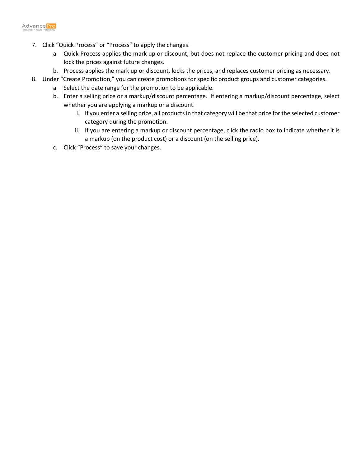

- 7. Click "Quick Process" or "Process" to apply the changes.
	- a. Quick Process applies the mark up or discount, but does not replace the customer pricing and does not lock the prices against future changes.
	- b. Process applies the mark up or discount, locks the prices, and replaces customer pricing as necessary.
- 8. Under "Create Promotion," you can create promotions for specific product groups and customer categories.
	- a. Select the date range for the promotion to be applicable.
	- b. Enter a selling price or a markup/discount percentage. If entering a markup/discount percentage, select whether you are applying a markup or a discount.
		- i. If you enter a selling price, all products in that category will be that price for the selected customer category during the promotion.
		- ii. If you are entering a markup or discount percentage, click the radio box to indicate whether it is a markup (on the product cost) or a discount (on the selling price).
	- c. Click "Process" to save your changes.